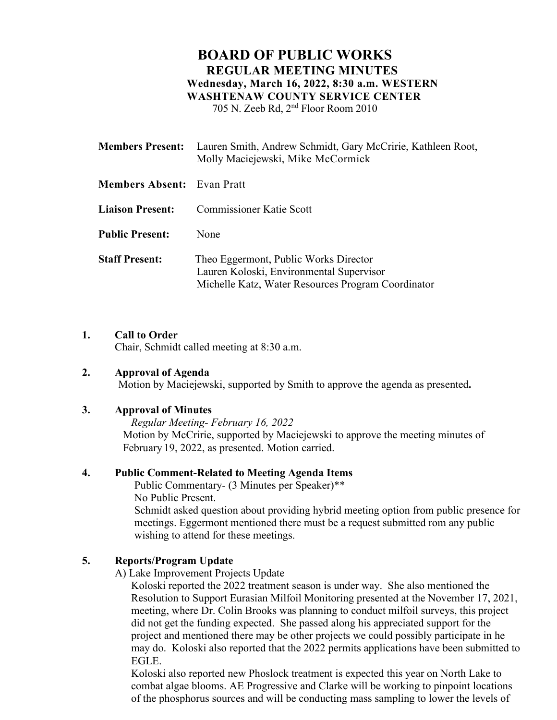# **BOARD OF PUBLIC WORKS REGULAR MEETING MINUTES Wednesday, March 16, 2022, 8:30 a.m. WESTERN WASHTENAW COUNTY SERVICE CENTER** 705 N. Zeeb Rd, 2nd Floor Room 2010

**Members Present:** Lauren Smith, Andrew Schmidt, Gary McCririe, Kathleen Root, Molly Maciejewski, Mike McCormick **Members Absent:** Evan Pratt **Liaison Present:** Commissioner Katie Scott **Public Present:** None **Staff Present:** Theo Eggermont, Public Works Director Lauren Koloski, Environmental Supervisor Michelle Katz, Water Resources Program Coordinator

## **1. Call to Order**

Chair, Schmidt called meeting at 8:30 a.m.

## **2. Approval of Agenda**

Motion by Maciejewski, supported by Smith to approve the agenda as presented**.**

## **3. Approval of Minutes**

*Regular Meeting- February 16, 2022*  Motion by McCririe, supported by Maciejewski to approve the meeting minutes of February 19, 2022, as presented. Motion carried.

## **4. Public Comment-Related to Meeting Agenda Items**

Public Commentary- (3 Minutes per Speaker)\*\* No Public Present.

Schmidt asked question about providing hybrid meeting option from public presence for meetings. Eggermont mentioned there must be a request submitted rom any public wishing to attend for these meetings.

## **5. Reports/Program Update**

A) Lake Improvement Projects Update

Koloski reported the 2022 treatment season is under way. She also mentioned the Resolution to Support Eurasian Milfoil Monitoring presented at the November 17, 2021, meeting, where Dr. Colin Brooks was planning to conduct milfoil surveys, this project did not get the funding expected. She passed along his appreciated support for the project and mentioned there may be other projects we could possibly participate in he may do. Koloski also reported that the 2022 permits applications have been submitted to EGLE.

Koloski also reported new Phoslock treatment is expected this year on North Lake to combat algae blooms. AE Progressive and Clarke will be working to pinpoint locations of the phosphorus sources and will be conducting mass sampling to lower the levels of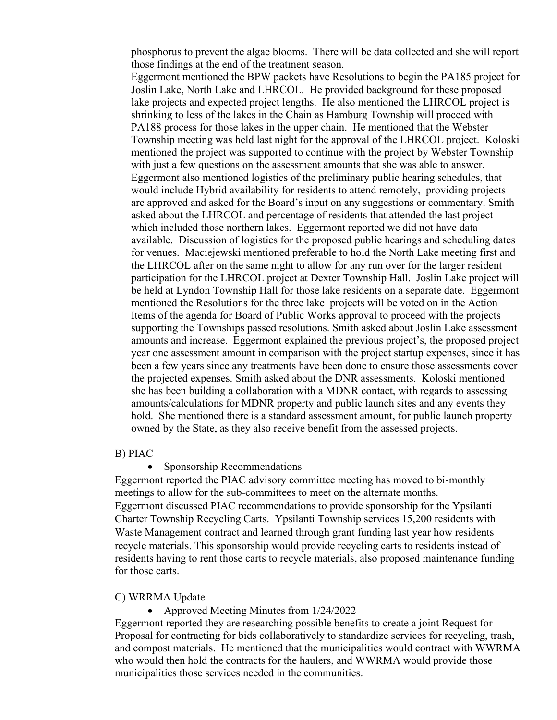phosphorus to prevent the algae blooms. There will be data collected and she will report those findings at the end of the treatment season.

Eggermont mentioned the BPW packets have Resolutions to begin the PA185 project for Joslin Lake, North Lake and LHRCOL. He provided background for these proposed lake projects and expected project lengths. He also mentioned the LHRCOL project is shrinking to less of the lakes in the Chain as Hamburg Township will proceed with PA188 process for those lakes in the upper chain. He mentioned that the Webster Township meeting was held last night for the approval of the LHRCOL project. Koloski mentioned the project was supported to continue with the project by Webster Township with just a few questions on the assessment amounts that she was able to answer. Eggermont also mentioned logistics of the preliminary public hearing schedules, that would include Hybrid availability for residents to attend remotely, providing projects are approved and asked for the Board's input on any suggestions or commentary. Smith asked about the LHRCOL and percentage of residents that attended the last project which included those northern lakes. Eggermont reported we did not have data available. Discussion of logistics for the proposed public hearings and scheduling dates for venues. Maciejewski mentioned preferable to hold the North Lake meeting first and the LHRCOL after on the same night to allow for any run over for the larger resident participation for the LHRCOL project at Dexter Township Hall. Joslin Lake project will be held at Lyndon Township Hall for those lake residents on a separate date. Eggermont mentioned the Resolutions for the three lake projects will be voted on in the Action Items of the agenda for Board of Public Works approval to proceed with the projects supporting the Townships passed resolutions. Smith asked about Joslin Lake assessment amounts and increase. Eggermont explained the previous project's, the proposed project year one assessment amount in comparison with the project startup expenses, since it has been a few years since any treatments have been done to ensure those assessments cover the projected expenses. Smith asked about the DNR assessments. Koloski mentioned she has been building a collaboration with a MDNR contact, with regards to assessing amounts/calculations for MDNR property and public launch sites and any events they hold. She mentioned there is a standard assessment amount, for public launch property owned by the State, as they also receive benefit from the assessed projects.

#### B) PIAC

Sponsorship Recommendations

Eggermont reported the PIAC advisory committee meeting has moved to bi-monthly meetings to allow for the sub-committees to meet on the alternate months. Eggermont discussed PIAC recommendations to provide sponsorship for the Ypsilanti Charter Township Recycling Carts. Ypsilanti Township services 15,200 residents with Waste Management contract and learned through grant funding last year how residents recycle materials. This sponsorship would provide recycling carts to residents instead of residents having to rent those carts to recycle materials, also proposed maintenance funding for those carts.

### C) WRRMA Update

• Approved Meeting Minutes from 1/24/2022

Eggermont reported they are researching possible benefits to create a joint Request for Proposal for contracting for bids collaboratively to standardize services for recycling, trash, and compost materials. He mentioned that the municipalities would contract with WWRMA who would then hold the contracts for the haulers, and WWRMA would provide those municipalities those services needed in the communities.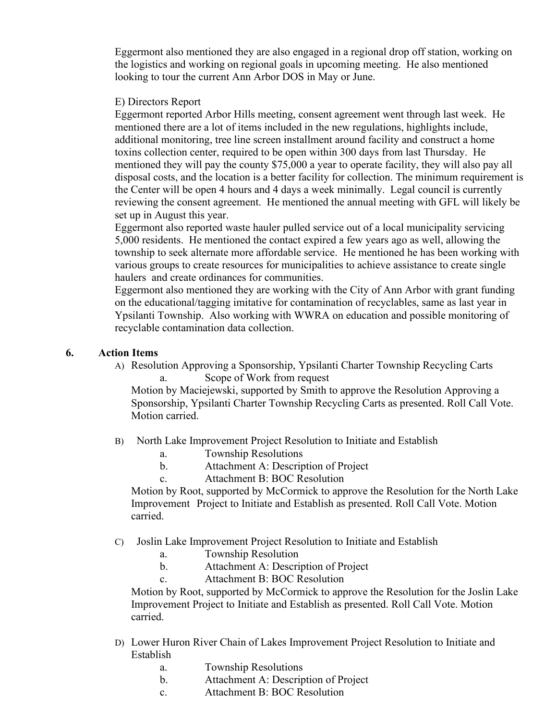Eggermont also mentioned they are also engaged in a regional drop off station, working on the logistics and working on regional goals in upcoming meeting. He also mentioned looking to tour the current Ann Arbor DOS in May or June.

## E) Directors Report

Eggermont reported Arbor Hills meeting, consent agreement went through last week. He mentioned there are a lot of items included in the new regulations, highlights include, additional monitoring, tree line screen installment around facility and construct a home toxins collection center, required to be open within 300 days from last Thursday. He mentioned they will pay the county \$75,000 a year to operate facility, they will also pay all disposal costs, and the location is a better facility for collection. The minimum requirement is the Center will be open 4 hours and 4 days a week minimally. Legal council is currently reviewing the consent agreement. He mentioned the annual meeting with GFL will likely be set up in August this year.

Eggermont also reported waste hauler pulled service out of a local municipality servicing 5,000 residents. He mentioned the contact expired a few years ago as well, allowing the township to seek alternate more affordable service. He mentioned he has been working with various groups to create resources for municipalities to achieve assistance to create single haulers and create ordinances for communities.

Eggermont also mentioned they are working with the City of Ann Arbor with grant funding on the educational/tagging imitative for contamination of recyclables, same as last year in Ypsilanti Township. Also working with WWRA on education and possible monitoring of recyclable contamination data collection.

## **6. Action Items**

A) Resolution Approving a Sponsorship, Ypsilanti Charter Township Recycling Carts Scope of Work from request

Motion by Maciejewski, supported by Smith to approve the Resolution Approving a Sponsorship, Ypsilanti Charter Township Recycling Carts as presented. Roll Call Vote. Motion carried.

- B) North Lake Improvement Project Resolution to Initiate and Establish
	- a. Township Resolutions
	- b. Attachment A: Description of Project
	- c. Attachment B: BOC Resolution

Motion by Root, supported by McCormick to approve the Resolution for the North Lake Improvement Project to Initiate and Establish as presented. Roll Call Vote. Motion carried.

- C) Joslin Lake Improvement Project Resolution to Initiate and Establish
	- a. Township Resolution
	- b. Attachment A: Description of Project
	- c. Attachment B: BOC Resolution

Motion by Root, supported by McCormick to approve the Resolution for the Joslin Lake Improvement Project to Initiate and Establish as presented. Roll Call Vote. Motion carried.

- D) Lower Huron River Chain of Lakes Improvement Project Resolution to Initiate and Establish
	- a. Township Resolutions
	- b. Attachment A: Description of Project
	- c. Attachment B: BOC Resolution